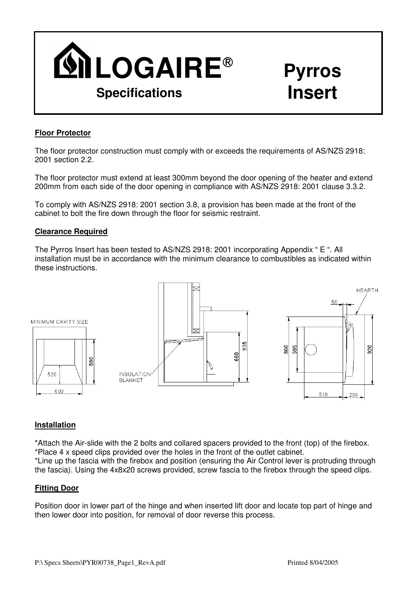

### **Floor Protector**

The floor protector construction must comply with or exceeds the requirements of AS/NZS 2918: 2001 section 2.2.

The floor protector must extend at least 300mm beyond the door opening of the heater and extend 200mm from each side of the door opening in compliance with AS/NZS 2918: 2001 clause 3.3.2.

To comply with AS/NZS 2918: 2001 section 3.8, a provision has been made at the front of the cabinet to bolt the fire down through the floor for seismic restraint.

#### **Clearance Required**

The Pyrros Insert has been tested to AS/NZS 2918: 2001 incorporating Appendix " E ". All installation must be in accordance with the minimum clearance to combustibles as indicated within these instructions.



#### **Installation**

\*Attach the Air-slide with the 2 bolts and collared spacers provided to the front (top) of the firebox. \*Place 4 x speed clips provided over the holes in the front of the outlet cabinet.

\*Line up the fascia with the firebox and position (ensuring the Air Control lever is protruding through the fascia). Using the 4x8x20 screws provided, screw fascia to the firebox through the speed clips.

#### **Fitting Door**

Position door in lower part of the hinge and when inserted lift door and locate top part of hinge and then lower door into position, for removal of door reverse this process.